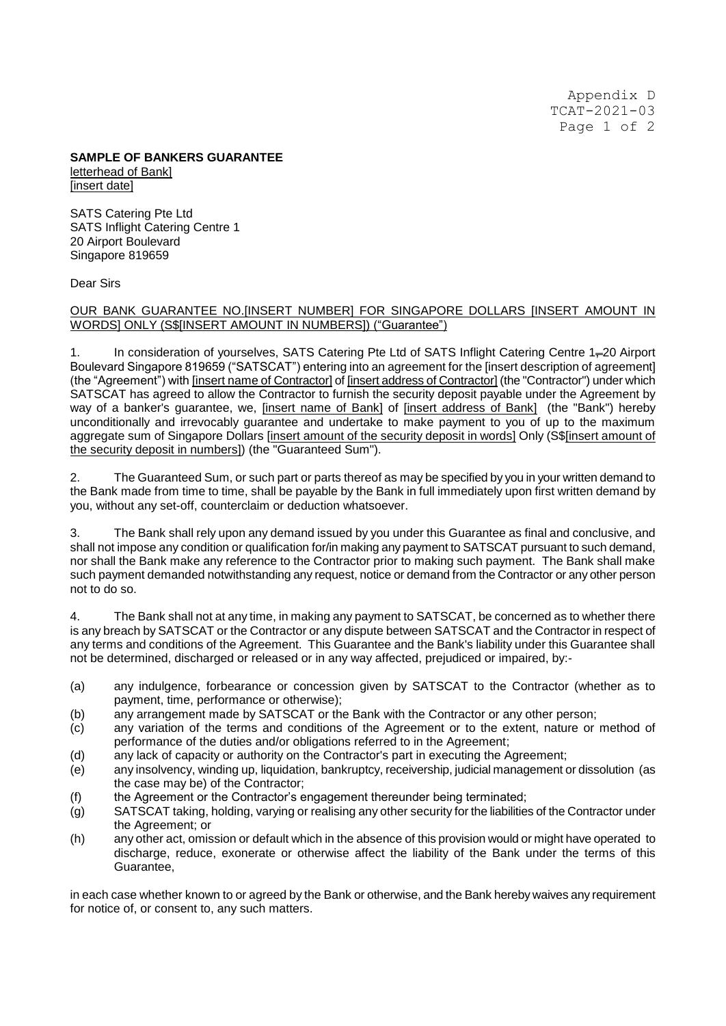Appendix D TCAT-2021-03 Page 1 of 2

## **SAMPLE OF BANKERS GUARANTEE** letterhead of Bank] [insert date]

SATS Catering Pte Ltd SATS Inflight Catering Centre 1 20 Airport Boulevard Singapore 819659

## Dear Sirs

## OUR BANK GUARANTEE NO.[INSERT NUMBER] FOR SINGAPORE DOLLARS [INSERT AMOUNT IN WORDS] ONLY (S\$[INSERT AMOUNT IN NUMBERS]) ("Guarantee")

1. In consideration of yourselves, SATS Catering Pte Ltd of SATS Inflight Catering Centre 1=20 Airport Boulevard Singapore 819659 ("SATSCAT") entering into an agreement for the [insert description of agreement] (the "Agreement") with [insert name of Contractor] of [insert address of Contractor] (the "Contractor") under which SATSCAT has agreed to allow the Contractor to furnish the security deposit payable under the Agreement by way of a banker's guarantee, we, [insert name of Bank] of [insert address of Bank] (the "Bank") hereby unconditionally and irrevocably guarantee and undertake to make payment to you of up to the maximum aggregate sum of Singapore Dollars [insert amount of the security deposit in words] Only (S\$[insert amount of the security deposit in numbers]) (the "Guaranteed Sum").

2. The Guaranteed Sum, or such part or parts thereof as may be specified by you in your written demand to the Bank made from time to time, shall be payable by the Bank in full immediately upon first written demand by you, without any set-off, counterclaim or deduction whatsoever.

3. The Bank shall rely upon any demand issued by you under this Guarantee as final and conclusive, and shall not impose any condition or qualification for/in making any payment to SATSCAT pursuant to such demand, nor shall the Bank make any reference to the Contractor prior to making such payment. The Bank shall make such payment demanded notwithstanding any request, notice or demand from the Contractor or any other person not to do so.

4. The Bank shall not at any time, in making any payment to SATSCAT, be concerned as to whether there is any breach by SATSCAT or the Contractor or any dispute between SATSCAT and the Contractor in respect of any terms and conditions of the Agreement. This Guarantee and the Bank's liability under this Guarantee shall not be determined, discharged or released or in any way affected, prejudiced or impaired, by:-

- (a) any indulgence, forbearance or concession given by SATSCAT to the Contractor (whether as to payment, time, performance or otherwise);
- (b) any arrangement made by SATSCAT or the Bank with the Contractor or any other person;
- (c) any variation of the terms and conditions of the Agreement or to the extent, nature or method of performance of the duties and/or obligations referred to in the Agreement;
- (d) any lack of capacity or authority on the Contractor's part in executing the Agreement;
- (e) any insolvency, winding up, liquidation, bankruptcy, receivership, judicial management or dissolution (as the case may be) of the Contractor;
- (f) the Agreement or the Contractor's engagement thereunder being terminated;
- (g) SATSCAT taking, holding, varying or realising any other security for the liabilities of the Contractor under the Agreement; or
- (h) any other act, omission or default which in the absence of this provision would or might have operated to discharge, reduce, exonerate or otherwise affect the liability of the Bank under the terms of this Guarantee,

in each case whether known to or agreed by the Bank or otherwise, and the Bank hereby waives any requirement for notice of, or consent to, any such matters.